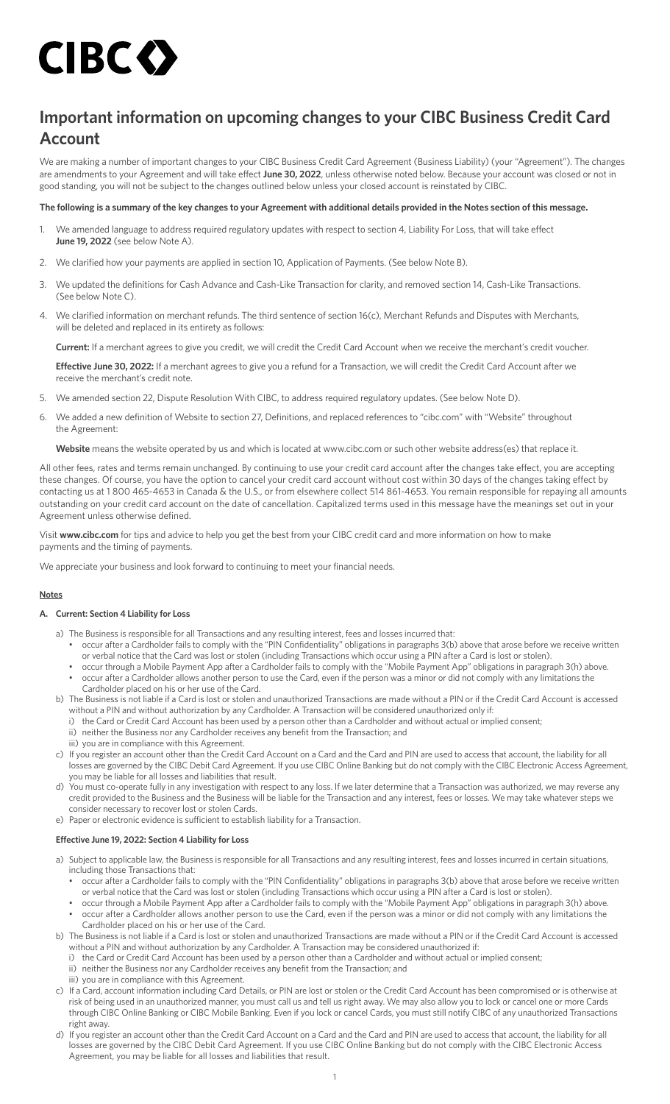# CIBC O

# **Important information on upcoming changes to your CIBC Business Credit Card Account**

We are making a number of important changes to your CIBC Business Credit Card Agreement (Business Liability) (your "Agreement"). The changes are amendments to your Agreement and will take effect **June 30, 2022**, unless otherwise noted below. Because your account was closed or not in good standing, you will not be subject to the changes outlined below unless your closed account is reinstated by CIBC.

# **The following is a summary of the key changes to your Agreement with additional details provided in the Notes section of this message.**

- 1. We amended language to address required regulatory updates with respect to section 4, Liability For Loss, that will take effect **June 19, 2022** (see below Note A).
- 2. We clarified how your payments are applied in section 10, Application of Payments. (See below Note B).
- 3. We updated the definitions for Cash Advance and Cash-Like Transaction for clarity, and removed section 14, Cash-Like Transactions. (See below Note C).
- 4. We clarified information on merchant refunds. The third sentence of section 16(c), Merchant Refunds and Disputes with Merchants, will be deleted and replaced in its entirety as follows:

**Current:** If a merchant agrees to give you credit, we will credit the Credit Card Account when we receive the merchant's credit voucher.

**Effective June 30, 2022:** If a merchant agrees to give you a refund for a Transaction, we will credit the Credit Card Account after we receive the merchant's credit note.

- 5. We amended section 22, Dispute Resolution With CIBC, to address required regulatory updates. (See below Note D).
- 6. We added a new definition of Website to section 27, Definitions, and replaced references to ["cibc.com"](http://cibc.com) with "Website" throughout the Agreement:

**Website** means the website operated by us and which is located at [www.cibc.com](http://www.cibc.com) or such other website address(es) that replace it.

All other fees, rates and terms remain unchanged. By continuing to use your credit card account after the changes take effect, you are accepting these changes. Of course, you have the option to cancel your credit card account without cost within 30 days of the changes taking effect by contacting us at 1 800 465-4653 in Canada & the U.S., or from elsewhere collect 514 861-4653. You remain responsible for repaying all amounts outstanding on your credit card account on the date of cancellation. Capitalized terms used in this message have the meanings set out in your Agreement unless otherwise defined.

Visit **[www.cibc.com](http://www.cibc.com)** for tips and advice to help you get the best from your CIBC credit card and more information on how to make payments and the timing of payments.

We appreciate your business and look forward to continuing to meet your financial needs.

# **Notes**

# **A. Current: Section 4 Liability for Loss**

- a) The Business is responsible for all Transactions and any resulting interest, fees and losses incurred that:
	- occur after a Cardholder fails to comply with the "PIN Confidentiality" obligations in paragraphs 3(b) above that arose before we receive written or verbal notice that the Card was lost or stolen (including Transactions which occur using a PIN after a Card is lost or stolen).
	- occur through a Mobile Payment App after a Cardholder fails to comply with the "Mobile Payment App" obligations in paragraph 3(h) above. • occur after a Cardholder allows another person to use the Card, even if the person was a minor or did not comply with any limitations the Cardholder placed on his or her use of the Card.
- b) The Business is not liable if a Card is lost or stolen and unauthorized Transactions are made without a PIN or if the Credit Card Account is accessed without a PIN and without authorization by any Cardholder. A Transaction will be considered unauthorized only if:
	- i) the Card or Credit Card Account has been used by a person other than a Cardholder and without actual or implied consent;
- ii) neither the Business nor any Cardholder receives any benefit from the Transaction; and
- iii) you are in compliance with this Agreement.
- c) If you register an account other than the Credit Card Account on a Card and the Card and PIN are used to access that account, the liability for all losses are governed by the CIBC Debit Card Agreement. If you use CIBC Online Banking but do not comply with the CIBC Electronic Access Agreement, you may be liable for all losses and liabilities that result.
- d) You must co-operate fully in any investigation with respect to any loss. If we later determine that a Transaction was authorized, we may reverse any credit provided to the Business and the Business will be liable for the Transaction and any interest, fees or losses. We may take whatever steps we consider necessary to recover lost or stolen Cards.
- e) Paper or electronic evidence is sufficient to establish liability for a Transaction.

# **Effective June 19, 2022: Section 4 Liability for Loss**

- a) Subject to applicable law, the Business is responsible for all Transactions and any resulting interest, fees and losses incurred in certain situations, including those Transactions that:
	- occur after a Cardholder fails to comply with the "PIN Confidentiality" obligations in paragraphs 3(b) above that arose before we receive written or verbal notice that the Card was lost or stolen (including Transactions which occur using a PIN after a Card is lost or stolen).
	- occur through a Mobile Payment App after a Cardholder fails to comply with the "Mobile Payment App" obligations in paragraph 3(h) above. • occur after a Cardholder allows another person to use the Card, even if the person was a minor or did not comply with any limitations the Cardholder placed on his or her use of the Card.
- b) The Business is not liable if a Card is lost or stolen and unauthorized Transactions are made without a PIN or if the Credit Card Account is accessed without a PIN and without authorization by any Cardholder. A Transaction may be considered unauthorized if:
	- i) the Card or Credit Card Account has been used by a person other than a Cardholder and without actual or implied consent;
	- ii) neither the Business nor any Cardholder receives any benefit from the Transaction; and
	- iii) you are in compliance with this Agreement.
- c) If a Card, account information including Card Details, or PIN are lost or stolen or the Credit Card Account has been compromised or is otherwise at risk of being used in an unauthorized manner, you must call us and tell us right away. We may also allow you to lock or cancel one or more Cards through CIBC Online Banking or CIBC Mobile Banking. Even if you lock or cancel Cards, you must still notify CIBC of any unauthorized Transactions right away.
- d) If you register an account other than the Credit Card Account on a Card and the Card and PIN are used to access that account, the liability for all losses are governed by the CIBC Debit Card Agreement. If you use CIBC Online Banking but do not comply with the CIBC Electronic Access Agreement, you may be liable for all losses and liabilities that result.